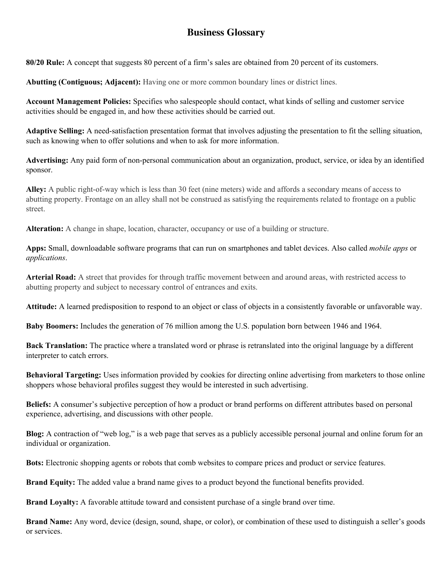## **Business Glossary**

**80/20 Rule:** A concept that suggests 80 percent of a firm's sales are obtained from 20 percent of its customers.

**Abutting (Contiguous; Adjacent):** Having one or more common boundary lines or district lines.

**Account Management Policies:** Specifies who salespeople should contact, what kinds of selling and customer service activities should be engaged in, and how these activities should be carried out.

**Adaptive Selling:** A need-satisfaction presentation format that involves adjusting the presentation to fit the selling situation, such as knowing when to offer solutions and when to ask for more information.

**Advertising:** Any paid form of non-personal communication about an organization, product, service, or idea by an identified sponsor.

**Alley:** A public right-of-way which is less than 30 feet (nine meters) wide and affords a secondary means of access to abutting property. Frontage on an alley shall not be construed as satisfying the requirements related to frontage on a public street.

**Alteration:** A change in shape, location, character, occupancy or use of a building or structure.

**Apps:** Small, downloadable software programs that can run on smartphones and tablet devices. Also called *mobile apps* or *applications*.

**Arterial Road:** A street that provides for through traffic movement between and around areas, with restricted access to abutting property and subject to necessary control of entrances and exits.

**Attitude:** A learned predisposition to respond to an object or class of objects in a consistently favorable or unfavorable way.

**Baby Boomers:** Includes the generation of 76 million among the U.S. population born between 1946 and 1964.

**Back Translation:** The practice where a translated word or phrase is retranslated into the original language by a different interpreter to catch errors.

**Behavioral Targeting:** Uses information provided by cookies for directing online advertising from marketers to those online shoppers whose behavioral profiles suggest they would be interested in such advertising.

**Beliefs:** A consumer's subjective perception of how a product or brand performs on different attributes based on personal experience, advertising, and discussions with other people.

**Blog:** A contraction of "web log," is a web page that serves as a publicly accessible personal journal and online forum for an individual or organization.

**Bots:** Electronic shopping agents or robots that comb websites to compare prices and product or service features.

**Brand Equity:** The added value a brand name gives to a product beyond the functional benefits provided.

**Brand Loyalty:** A favorable attitude toward and consistent purchase of a single brand over time.

**Brand Name:** Any word, device (design, sound, shape, or color), or combination of these used to distinguish a seller's goods or services.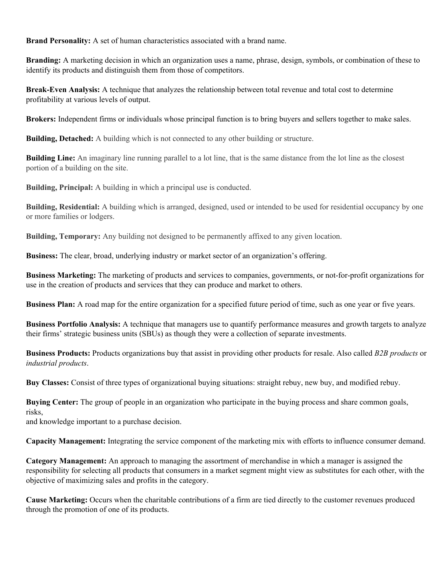**Brand Personality:** A set of human characteristics associated with a brand name.

**Branding:** A marketing decision in which an organization uses a name, phrase, design, symbols, or combination of these to identify its products and distinguish them from those of competitors.

**Break-Even Analysis:** A technique that analyzes the relationship between total revenue and total cost to determine profitability at various levels of output.

**Brokers:** Independent firms or individuals whose principal function is to bring buyers and sellers together to make sales.

**Building, Detached:** A building which is not connected to any other building or structure.

**Building Line:** An imaginary line running parallel to a lot line, that is the same distance from the lot line as the closest portion of a building on the site.

**Building, Principal:** A building in which a principal use is conducted.

**Building, Residential:** A building which is arranged, designed, used or intended to be used for residential occupancy by one or more families or lodgers.

**Building, Temporary:** Any building not designed to be permanently affixed to any given location.

**Business:** The clear, broad, underlying industry or market sector of an organization's offering.

**Business Marketing:** The marketing of products and services to companies, governments, or not-for-profit organizations for use in the creation of products and services that they can produce and market to others.

**Business Plan:** A road map for the entire organization for a specified future period of time, such as one year or five years.

**Business Portfolio Analysis:** A technique that managers use to quantify performance measures and growth targets to analyze their firms' strategic business units (SBUs) as though they were a collection of separate investments.

**Business Products:** Products organizations buy that assist in providing other products for resale. Also called *B2B products* or *industrial products*.

**Buy Classes:** Consist of three types of organizational buying situations: straight rebuy, new buy, and modified rebuy.

**Buying Center:** The group of people in an organization who participate in the buying process and share common goals, risks,

and knowledge important to a purchase decision.

**Capacity Management:** Integrating the service component of the marketing mix with efforts to influence consumer demand.

**Category Management:** An approach to managing the assortment of merchandise in which a manager is assigned the responsibility for selecting all products that consumers in a market segment might view as substitutes for each other, with the objective of maximizing sales and profits in the category.

**Cause Marketing:** Occurs when the charitable contributions of a firm are tied directly to the customer revenues produced through the promotion of one of its products.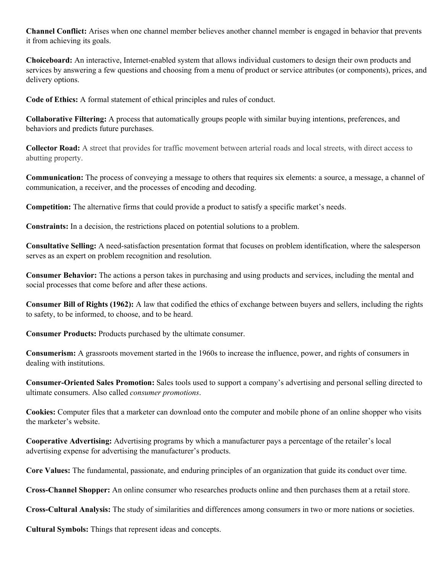**Channel Conflict:** Arises when one channel member believes another channel member is engaged in behavior that prevents it from achieving its goals.

**Choiceboard:** An interactive, Internet-enabled system that allows individual customers to design their own products and services by answering a few questions and choosing from a menu of product or service attributes (or components), prices, and delivery options.

**Code of Ethics:** A formal statement of ethical principles and rules of conduct.

**Collaborative Filtering:** A process that automatically groups people with similar buying intentions, preferences, and behaviors and predicts future purchases.

**Collector Road:** A street that provides for traffic movement between arterial roads and local streets, with direct access to abutting property.

**Communication:** The process of conveying a message to others that requires six elements: a source, a message, a channel of communication, a receiver, and the processes of encoding and decoding.

**Competition:** The alternative firms that could provide a product to satisfy a specific market's needs.

**Constraints:** In a decision, the restrictions placed on potential solutions to a problem.

**Consultative Selling:** A need-satisfaction presentation format that focuses on problem identification, where the salesperson serves as an expert on problem recognition and resolution.

**Consumer Behavior:** The actions a person takes in purchasing and using products and services, including the mental and social processes that come before and after these actions.

**Consumer Bill of Rights (1962):** A law that codified the ethics of exchange between buyers and sellers, including the rights to safety, to be informed, to choose, and to be heard.

**Consumer Products:** Products purchased by the ultimate consumer.

**Consumerism:** A grassroots movement started in the 1960s to increase the influence, power, and rights of consumers in dealing with institutions.

**Consumer-Oriented Sales Promotion:** Sales tools used to support a company's advertising and personal selling directed to ultimate consumers. Also called *consumer promotions*.

**Cookies:** Computer files that a marketer can download onto the computer and mobile phone of an online shopper who visits the marketer's website.

**Cooperative Advertising:** Advertising programs by which a manufacturer pays a percentage of the retailer's local advertising expense for advertising the manufacturer's products.

**Core Values:** The fundamental, passionate, and enduring principles of an organization that guide its conduct over time.

**Cross-Channel Shopper:** An online consumer who researches products online and then purchases them at a retail store.

**Cross-Cultural Analysis:** The study of similarities and differences among consumers in two or more nations or societies.

**Cultural Symbols:** Things that represent ideas and concepts.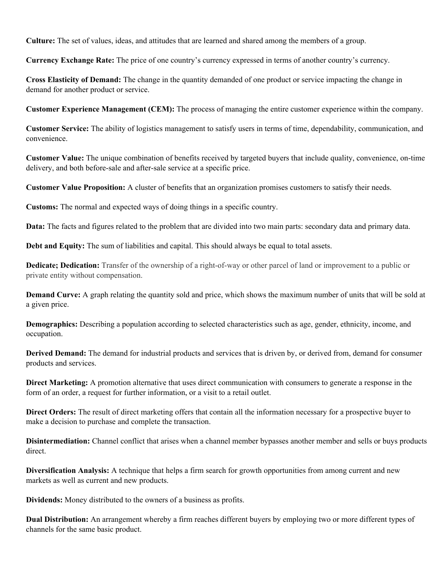**Culture:** The set of values, ideas, and attitudes that are learned and shared among the members of a group.

**Currency Exchange Rate:** The price of one country's currency expressed in terms of another country's currency.

**Cross Elasticity of Demand:** The change in the quantity demanded of one product or service impacting the change in demand for another product or service.

**Customer Experience Management (CEM):** The process of managing the entire customer experience within the company.

**Customer Service:** The ability of logistics management to satisfy users in terms of time, dependability, communication, and convenience.

**Customer Value:** The unique combination of benefits received by targeted buyers that include quality, convenience, on-time delivery, and both before-sale and after-sale service at a specific price.

**Customer Value Proposition:** A cluster of benefits that an organization promises customers to satisfy their needs.

**Customs:** The normal and expected ways of doing things in a specific country.

**Data:** The facts and figures related to the problem that are divided into two main parts: secondary data and primary data.

**Debt and Equity:** The sum of liabilities and capital. This should always be equal to total assets.

**Dedicate; Dedication:** Transfer of the ownership of a right-of-way or other parcel of land or improvement to a public or private entity without compensation.

**Demand Curve:** A graph relating the quantity sold and price, which shows the maximum number of units that will be sold at a given price.

**Demographics:** Describing a population according to selected characteristics such as age, gender, ethnicity, income, and occupation.

**Derived Demand:** The demand for industrial products and services that is driven by, or derived from, demand for consumer products and services.

**Direct Marketing:** A promotion alternative that uses direct communication with consumers to generate a response in the form of an order, a request for further information, or a visit to a retail outlet.

**Direct Orders:** The result of direct marketing offers that contain all the information necessary for a prospective buyer to make a decision to purchase and complete the transaction.

**Disintermediation:** Channel conflict that arises when a channel member bypasses another member and sells or buys products direct.

**Diversification Analysis:** A technique that helps a firm search for growth opportunities from among current and new markets as well as current and new products.

**Dividends:** Money distributed to the owners of a business as profits.

**Dual Distribution:** An arrangement whereby a firm reaches different buyers by employing two or more different types of channels for the same basic product.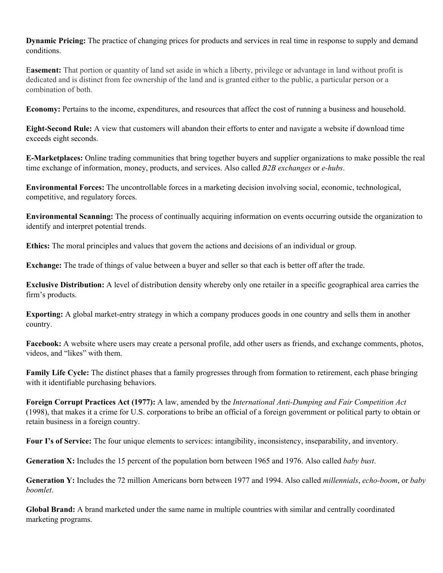**Dynamic Pricing:** The practice of changing prices for products and services in real time in response to supply and demand conditions.

E**asement:** That portion or quantity of land set aside in which a liberty, privilege or advantage in land without profit is dedicated and is distinct from fee ownership of the land and is granted either to the public, a particular person or a combination of both.

**Economy:** Pertains to the income, expenditures, and resources that affect the cost of running a business and household.

**Eight-Second Rule:** A view that customers will abandon their efforts to enter and navigate a website if download time exceeds eight seconds.

**E-Marketplaces:** Online trading communities that bring together buyers and supplier organizations to make possible the real time exchange of information, money, products, and services. Also called *B2B exchanges* or *e-hubs*.

**Environmental Forces:** The uncontrollable forces in a marketing decision involving social, economic, technological, competitive, and regulatory forces.

**Environmental Scanning:** The process of continually acquiring information on events occurring outside the organization to identify and interpret potential trends.

**Ethics:** The moral principles and values that govern the actions and decisions of an individual or group.

**Exchange:** The trade of things of value between a buyer and seller so that each is better off after the trade.

**Exclusive Distribution:** A level of distribution density whereby only one retailer in a specific geographical area carries the firm's products.

**Exporting:** A global market-entry strategy in which a company produces goods in one country and sells them in another country.

**Facebook:** A website where users may create a personal profile, add other users as friends, and exchange comments, photos, videos, and "likes" with them.

**Family Life Cycle:** The distinct phases that a family progresses through from formation to retirement, each phase bringing with it identifiable purchasing behaviors.

**Foreign Corrupt Practices Act (1977):** A law, amended by the *International Anti-Dumping and Fair Competition Act* (1998), that makes it a crime for U.S. corporations to bribe an official of a foreign government or political party to obtain or retain business in a foreign country.

**Four I's of Service:** The four unique elements to services: intangibility, inconsistency, inseparability, and inventory.

**Generation X:** Includes the 15 percent of the population born between 1965 and 1976. Also called *baby bust*.

**Generation Y:** Includes the 72 million Americans born between 1977 and 1994. Also called *millennials*, *echo-boom*, or *baby boomlet*.

**Global Brand:** A brand marketed under the same name in multiple countries with similar and centrally coordinated marketing programs.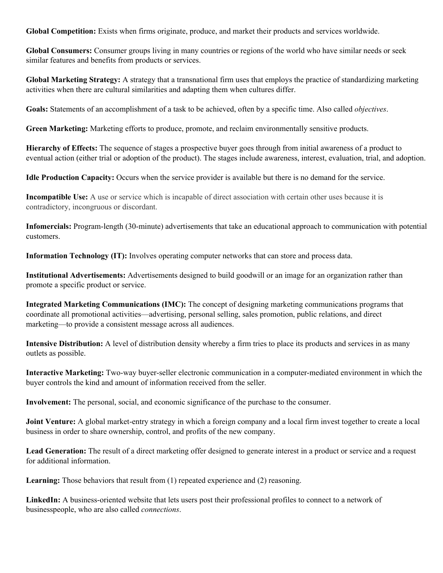**Global Competition:** Exists when firms originate, produce, and market their products and services worldwide.

**Global Consumers:** Consumer groups living in many countries or regions of the world who have similar needs or seek similar features and benefits from products or services.

**Global Marketing Strategy:** A strategy that a transnational firm uses that employs the practice of standardizing marketing activities when there are cultural similarities and adapting them when cultures differ.

**Goals:** Statements of an accomplishment of a task to be achieved, often by a specific time. Also called *objectives*.

**Green Marketing:** Marketing efforts to produce, promote, and reclaim environmentally sensitive products.

**Hierarchy of Effects:** The sequence of stages a prospective buyer goes through from initial awareness of a product to eventual action (either trial or adoption of the product). The stages include awareness, interest, evaluation, trial, and adoption.

**Idle Production Capacity:** Occurs when the service provider is available but there is no demand for the service.

**Incompatible Use:** A use or service which is incapable of direct association with certain other uses because it is contradictory, incongruous or discordant.

**Infomercials:** Program-length (30-minute) advertisements that take an educational approach to communication with potential customers.

**Information Technology (IT):** Involves operating computer networks that can store and process data.

**Institutional Advertisements:** Advertisements designed to build goodwill or an image for an organization rather than promote a specific product or service.

**Integrated Marketing Communications (IMC):** The concept of designing marketing communications programs that coordinate all promotional activities—advertising, personal selling, sales promotion, public relations, and direct marketing—to provide a consistent message across all audiences.

**Intensive Distribution:** A level of distribution density whereby a firm tries to place its products and services in as many outlets as possible.

**Interactive Marketing:** Two-way buyer-seller electronic communication in a computer-mediated environment in which the buyer controls the kind and amount of information received from the seller.

**Involvement:** The personal, social, and economic significance of the purchase to the consumer.

**Joint Venture:** A global market-entry strategy in which a foreign company and a local firm invest together to create a local business in order to share ownership, control, and profits of the new company.

**Lead Generation:** The result of a direct marketing offer designed to generate interest in a product or service and a request for additional information.

**Learning:** Those behaviors that result from (1) repeated experience and (2) reasoning.

**LinkedIn:** A business-oriented website that lets users post their professional profiles to connect to a network of businesspeople, who are also called *connections*.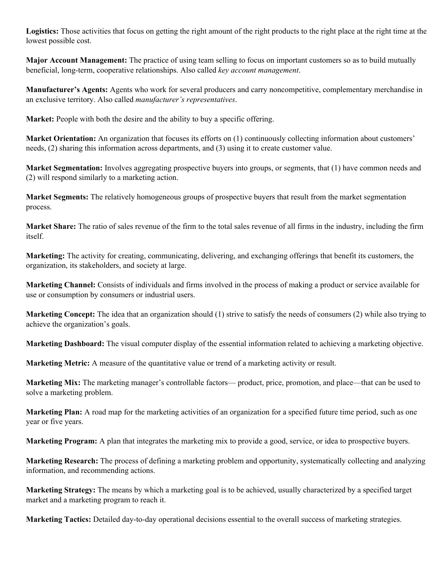**Logistics:** Those activities that focus on getting the right amount of the right products to the right place at the right time at the lowest possible cost.

**Major Account Management:** The practice of using team selling to focus on important customers so as to build mutually beneficial, long-term, cooperative relationships. Also called *key account management*.

**Manufacturer's Agents:** Agents who work for several producers and carry noncompetitive, complementary merchandise in an exclusive territory. Also called *manufacturer's representatives*.

**Market:** People with both the desire and the ability to buy a specific offering.

**Market Orientation:** An organization that focuses its efforts on (1) continuously collecting information about customers' needs, (2) sharing this information across departments, and (3) using it to create customer value.

**Market Segmentation:** Involves aggregating prospective buyers into groups, or segments, that (1) have common needs and (2) will respond similarly to a marketing action.

**Market Segments:** The relatively homogeneous groups of prospective buyers that result from the market segmentation process.

**Market Share:** The ratio of sales revenue of the firm to the total sales revenue of all firms in the industry, including the firm itself.

**Marketing:** The activity for creating, communicating, delivering, and exchanging offerings that benefit its customers, the organization, its stakeholders, and society at large.

**Marketing Channel:** Consists of individuals and firms involved in the process of making a product or service available for use or consumption by consumers or industrial users.

**Marketing Concept:** The idea that an organization should (1) strive to satisfy the needs of consumers (2) while also trying to achieve the organization's goals.

**Marketing Dashboard:** The visual computer display of the essential information related to achieving a marketing objective.

**Marketing Metric:** A measure of the quantitative value or trend of a marketing activity or result.

**Marketing Mix:** The marketing manager's controllable factors— product, price, promotion, and place—that can be used to solve a marketing problem.

**Marketing Plan:** A road map for the marketing activities of an organization for a specified future time period, such as one year or five years.

**Marketing Program:** A plan that integrates the marketing mix to provide a good, service, or idea to prospective buyers.

**Marketing Research:** The process of defining a marketing problem and opportunity, systematically collecting and analyzing information, and recommending actions.

**Marketing Strategy:** The means by which a marketing goal is to be achieved, usually characterized by a specified target market and a marketing program to reach it.

**Marketing Tactics:** Detailed day-to-day operational decisions essential to the overall success of marketing strategies.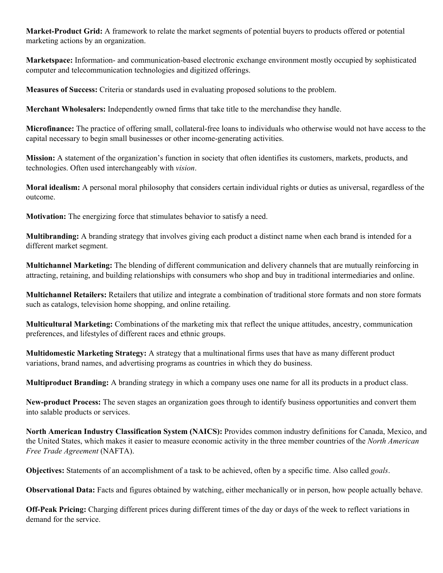**Market-Product Grid:** A framework to relate the market segments of potential buyers to products offered or potential marketing actions by an organization.

**Marketspace:** Information- and communication-based electronic exchange environment mostly occupied by sophisticated computer and telecommunication technologies and digitized offerings.

**Measures of Success:** Criteria or standards used in evaluating proposed solutions to the problem.

**Merchant Wholesalers:** Independently owned firms that take title to the merchandise they handle.

**Microfinance:** The practice of offering small, collateral-free loans to individuals who otherwise would not have access to the capital necessary to begin small businesses or other income-generating activities.

**Mission:** A statement of the organization's function in society that often identifies its customers, markets, products, and technologies. Often used interchangeably with *vision*.

**Moral idealism:** A personal moral philosophy that considers certain individual rights or duties as universal, regardless of the outcome.

**Motivation:** The energizing force that stimulates behavior to satisfy a need.

**Multibranding:** A branding strategy that involves giving each product a distinct name when each brand is intended for a different market segment.

**Multichannel Marketing:** The blending of different communication and delivery channels that are mutually reinforcing in attracting, retaining, and building relationships with consumers who shop and buy in traditional intermediaries and online.

**Multichannel Retailers:** Retailers that utilize and integrate a combination of traditional store formats and non store formats such as catalogs, television home shopping, and online retailing.

**Multicultural Marketing:** Combinations of the marketing mix that reflect the unique attitudes, ancestry, communication preferences, and lifestyles of different races and ethnic groups.

**Multidomestic Marketing Strategy:** A strategy that a multinational firms uses that have as many different product variations, brand names, and advertising programs as countries in which they do business.

**Multiproduct Branding:** A branding strategy in which a company uses one name for all its products in a product class.

**New-product Process:** The seven stages an organization goes through to identify business opportunities and convert them into salable products or services.

**North American Industry Classification System (NAICS):** Provides common industry definitions for Canada, Mexico, and the United States, which makes it easier to measure economic activity in the three member countries of the *North American Free Trade Agreement* (NAFTA).

**Objectives:** Statements of an accomplishment of a task to be achieved, often by a specific time. Also called *goals*.

**Observational Data:** Facts and figures obtained by watching, either mechanically or in person, how people actually behave.

**Off-Peak Pricing:** Charging different prices during different times of the day or days of the week to reflect variations in demand for the service.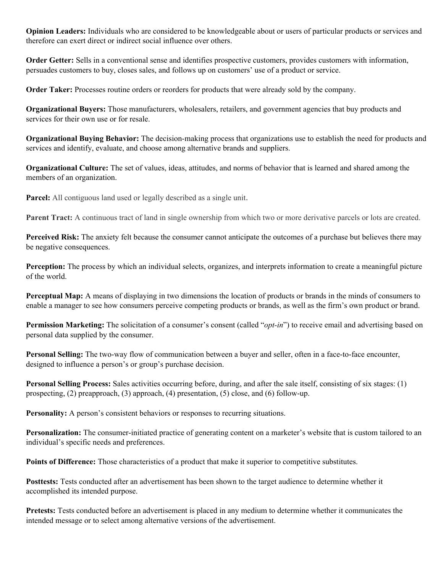**Opinion Leaders:** Individuals who are considered to be knowledgeable about or users of particular products or services and therefore can exert direct or indirect social influence over others.

**Order Getter:** Sells in a conventional sense and identifies prospective customers, provides customers with information, persuades customers to buy, closes sales, and follows up on customers' use of a product or service.

**Order Taker:** Processes routine orders or reorders for products that were already sold by the company.

**Organizational Buyers:** Those manufacturers, wholesalers, retailers, and government agencies that buy products and services for their own use or for resale.

**Organizational Buying Behavior:** The decision-making process that organizations use to establish the need for products and services and identify, evaluate, and choose among alternative brands and suppliers.

**Organizational Culture:** The set of values, ideas, attitudes, and norms of behavior that is learned and shared among the members of an organization.

**Parcel:** All contiguous land used or legally described as a single unit.

**Parent Tract:** A continuous tract of land in single ownership from which two or more derivative parcels or lots are created.

**Perceived Risk:** The anxiety felt because the consumer cannot anticipate the outcomes of a purchase but believes there may be negative consequences.

**Perception:** The process by which an individual selects, organizes, and interprets information to create a meaningful picture of the world.

**Perceptual Map:** A means of displaying in two dimensions the location of products or brands in the minds of consumers to enable a manager to see how consumers perceive competing products or brands, as well as the firm's own product or brand.

**Permission Marketing:** The solicitation of a consumer's consent (called "*opt-in*") to receive email and advertising based on personal data supplied by the consumer.

**Personal Selling:** The two-way flow of communication between a buyer and seller, often in a face-to-face encounter, designed to influence a person's or group's purchase decision.

**Personal Selling Process:** Sales activities occurring before, during, and after the sale itself, consisting of six stages: (1) prospecting, (2) preapproach, (3) approach, (4) presentation, (5) close, and (6) follow-up.

**Personality:** A person's consistent behaviors or responses to recurring situations.

**Personalization:** The consumer-initiated practice of generating content on a marketer's website that is custom tailored to an individual's specific needs and preferences.

**Points of Difference:** Those characteristics of a product that make it superior to competitive substitutes.

**Posttests:** Tests conducted after an advertisement has been shown to the target audience to determine whether it accomplished its intended purpose.

**Pretests:** Tests conducted before an advertisement is placed in any medium to determine whether it communicates the intended message or to select among alternative versions of the advertisement.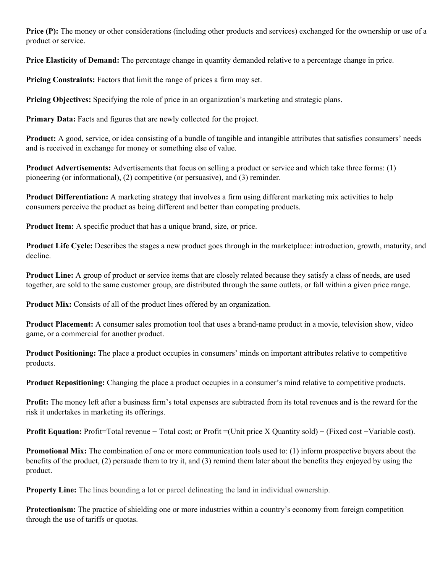**Price (P):** The money or other considerations (including other products and services) exchanged for the ownership or use of a product or service.

**Price Elasticity of Demand:** The percentage change in quantity demanded relative to a percentage change in price.

**Pricing Constraints:** Factors that limit the range of prices a firm may set.

**Pricing Objectives:** Specifying the role of price in an organization's marketing and strategic plans.

**Primary Data:** Facts and figures that are newly collected for the project.

**Product:** A good, service, or idea consisting of a bundle of tangible and intangible attributes that satisfies consumers' needs and is received in exchange for money or something else of value.

**Product Advertisements:** Advertisements that focus on selling a product or service and which take three forms: (1) pioneering (or informational), (2) competitive (or persuasive), and (3) reminder.

**Product Differentiation:** A marketing strategy that involves a firm using different marketing mix activities to help consumers perceive the product as being different and better than competing products.

**Product Item:** A specific product that has a unique brand, size, or price.

**Product Life Cycle:** Describes the stages a new product goes through in the marketplace: introduction, growth, maturity, and decline.

**Product Line:** A group of product or service items that are closely related because they satisfy a class of needs, are used together, are sold to the same customer group, are distributed through the same outlets, or fall within a given price range.

**Product Mix:** Consists of all of the product lines offered by an organization.

**Product Placement:** A consumer sales promotion tool that uses a brand-name product in a movie, television show, video game, or a commercial for another product.

**Product Positioning:** The place a product occupies in consumers' minds on important attributes relative to competitive products.

**Product Repositioning:** Changing the place a product occupies in a consumer's mind relative to competitive products.

**Profit:** The money left after a business firm's total expenses are subtracted from its total revenues and is the reward for the risk it undertakes in marketing its offerings.

**Profit Equation:** Profit=Total revenue − Total cost; or Profit =(Unit price X Quantity sold) − (Fixed cost +Variable cost).

**Promotional Mix:** The combination of one or more communication tools used to: (1) inform prospective buyers about the benefits of the product, (2) persuade them to try it, and (3) remind them later about the benefits they enjoyed by using the product.

**Property Line:** The lines bounding a lot or parcel delineating the land in individual ownership.

**Protectionism:** The practice of shielding one or more industries within a country's economy from foreign competition through the use of tariffs or quotas.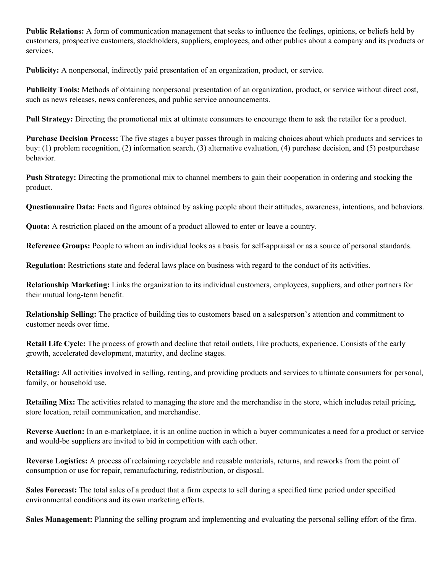**Public Relations:** A form of communication management that seeks to influence the feelings, opinions, or beliefs held by customers, prospective customers, stockholders, suppliers, employees, and other publics about a company and its products or services.

**Publicity:** A nonpersonal, indirectly paid presentation of an organization, product, or service.

**Publicity Tools:** Methods of obtaining nonpersonal presentation of an organization, product, or service without direct cost, such as news releases, news conferences, and public service announcements.

**Pull Strategy:** Directing the promotional mix at ultimate consumers to encourage them to ask the retailer for a product.

**Purchase Decision Process:** The five stages a buyer passes through in making choices about which products and services to buy: (1) problem recognition, (2) information search, (3) alternative evaluation, (4) purchase decision, and (5) postpurchase behavior.

**Push Strategy:** Directing the promotional mix to channel members to gain their cooperation in ordering and stocking the product.

**Questionnaire Data:** Facts and figures obtained by asking people about their attitudes, awareness, intentions, and behaviors.

**Quota:** A restriction placed on the amount of a product allowed to enter or leave a country.

**Reference Groups:** People to whom an individual looks as a basis for self-appraisal or as a source of personal standards.

**Regulation:** Restrictions state and federal laws place on business with regard to the conduct of its activities.

**Relationship Marketing:** Links the organization to its individual customers, employees, suppliers, and other partners for their mutual long-term benefit.

**Relationship Selling:** The practice of building ties to customers based on a salesperson's attention and commitment to customer needs over time.

**Retail Life Cycle:** The process of growth and decline that retail outlets, like products, experience. Consists of the early growth, accelerated development, maturity, and decline stages.

**Retailing:** All activities involved in selling, renting, and providing products and services to ultimate consumers for personal, family, or household use.

**Retailing Mix:** The activities related to managing the store and the merchandise in the store, which includes retail pricing, store location, retail communication, and merchandise.

**Reverse Auction:** In an e-marketplace, it is an online auction in which a buyer communicates a need for a product or service and would-be suppliers are invited to bid in competition with each other.

**Reverse Logistics:** A process of reclaiming recyclable and reusable materials, returns, and reworks from the point of consumption or use for repair, remanufacturing, redistribution, or disposal.

**Sales Forecast:** The total sales of a product that a firm expects to sell during a specified time period under specified environmental conditions and its own marketing efforts.

**Sales Management:** Planning the selling program and implementing and evaluating the personal selling effort of the firm.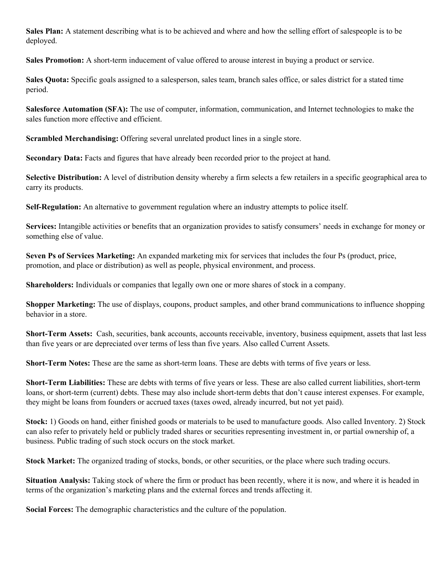**Sales Plan:** A statement describing what is to be achieved and where and how the selling effort of salespeople is to be deployed.

**Sales Promotion:** A short-term inducement of value offered to arouse interest in buying a product or service.

**Sales Quota:** Specific goals assigned to a salesperson, sales team, branch sales office, or sales district for a stated time period.

**Salesforce Automation (SFA):** The use of computer, information, communication, and Internet technologies to make the sales function more effective and efficient.

**Scrambled Merchandising:** Offering several unrelated product lines in a single store.

**Secondary Data:** Facts and figures that have already been recorded prior to the project at hand.

**Selective Distribution:** A level of distribution density whereby a firm selects a few retailers in a specific geographical area to carry its products.

**Self-Regulation:** An alternative to government regulation where an industry attempts to police itself.

**Services:** Intangible activities or benefits that an organization provides to satisfy consumers' needs in exchange for money or something else of value.

**Seven Ps of Services Marketing:** An expanded marketing mix for services that includes the four Ps (product, price, promotion, and place or distribution) as well as people, physical environment, and process.

**Shareholders:** Individuals or companies that legally own one or more shares of stock in a company.

**Shopper Marketing:** The use of displays, coupons, product samples, and other brand communications to influence shopping behavior in a store.

**Short-Term Assets:** Cash, securities, bank accounts, accounts receivable, inventory, business equipment, assets that last less than five years or are depreciated over terms of less than five years. Also called Current Assets.

**Short-Term Notes:** These are the same as short-term loans. These are debts with terms of five years or less.

**Short-Term Liabilities:** These are debts with terms of five years or less. These are also called current liabilities, short-term loans, or short-term (current) debts. These may also include short-term debts that don't cause interest expenses. For example, they might be loans from founders or accrued taxes (taxes owed, already incurred, but not yet paid).

**Stock:** 1) Goods on hand, either finished goods or materials to be used to manufacture goods. Also called Inventory. 2) Stock can also refer to privately held or publicly traded shares or securities representing investment in, or partial ownership of, a business. Public trading of such stock occurs on the stock market.

**Stock Market:** The organized trading of stocks, bonds, or other securities, or the place where such trading occurs.

**Situation Analysis:** Taking stock of where the firm or product has been recently, where it is now, and where it is headed in terms of the organization's marketing plans and the external forces and trends affecting it.

**Social Forces:** The demographic characteristics and the culture of the population.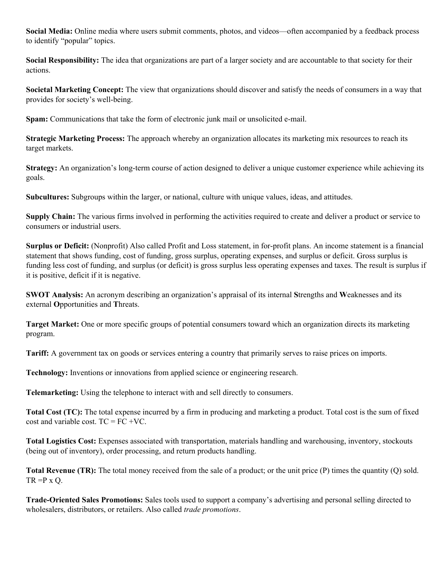**Social Media:** Online media where users submit comments, photos, and videos—often accompanied by a feedback process to identify "popular" topics.

**Social Responsibility:** The idea that organizations are part of a larger society and are accountable to that society for their actions.

**Societal Marketing Concept:** The view that organizations should discover and satisfy the needs of consumers in a way that provides for society's well-being.

**Spam:** Communications that take the form of electronic junk mail or unsolicited e-mail.

**Strategic Marketing Process:** The approach whereby an organization allocates its marketing mix resources to reach its target markets.

**Strategy:** An organization's long-term course of action designed to deliver a unique customer experience while achieving its goals.

**Subcultures:** Subgroups within the larger, or national, culture with unique values, ideas, and attitudes.

**Supply Chain:** The various firms involved in performing the activities required to create and deliver a product or service to consumers or industrial users.

**Surplus or Deficit:** (Nonprofit) Also called Profit and Loss statement, in for-profit plans. An income statement is a financial statement that shows funding, cost of funding, gross surplus, operating expenses, and surplus or deficit. Gross surplus is funding less cost of funding, and surplus (or deficit) is gross surplus less operating expenses and taxes. The result is surplus if it is positive, deficit if it is negative.

**SWOT** Analysis: An acronym describing an organization's appraisal of its internal Strengths and Weaknesses and its external **O**pportunities and **T**hreats.

**Target Market:** One or more specific groups of potential consumers toward which an organization directs its marketing program.

**Tariff:** A government tax on goods or services entering a country that primarily serves to raise prices on imports.

**Technology:** Inventions or innovations from applied science or engineering research.

**Telemarketing:** Using the telephone to interact with and sell directly to consumers.

**Total Cost (TC):** The total expense incurred by a firm in producing and marketing a product. Total cost is the sum of fixed cost and variable cost.  $TC = FC + VC$ .

**Total Logistics Cost:** Expenses associated with transportation, materials handling and warehousing, inventory, stockouts (being out of inventory), order processing, and return products handling.

**Total Revenue (TR):** The total money received from the sale of a product; or the unit price (P) times the quantity (Q) sold.  $TR = P \times Q$ .

**Trade-Oriented Sales Promotions:** Sales tools used to support a company's advertising and personal selling directed to wholesalers, distributors, or retailers. Also called *trade promotions*.